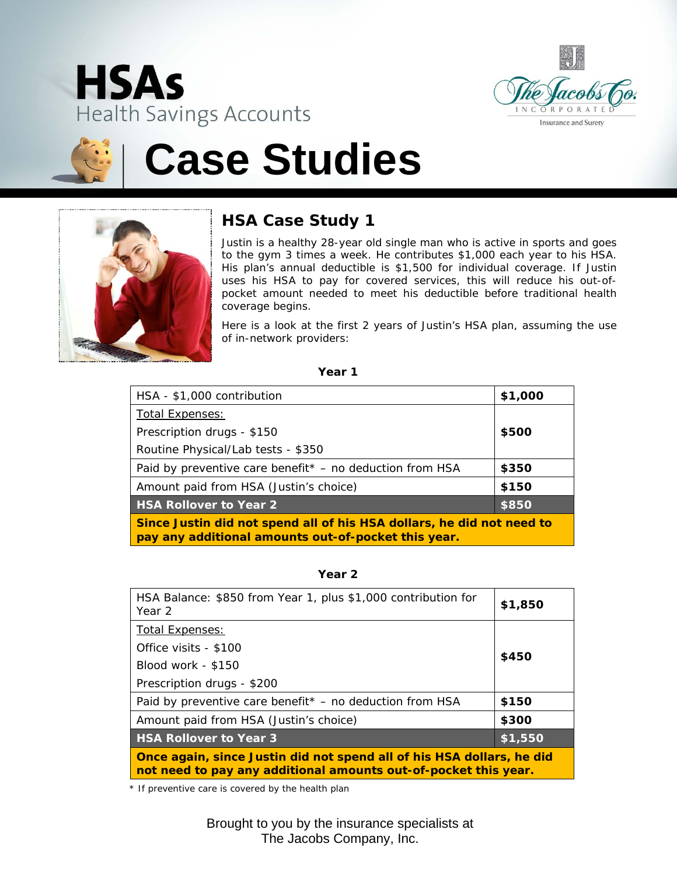





# **Case Studies**



### **HSA Case Study 1**

Justin is a healthy 28-year old single man who is active in sports and goes to the gym 3 times a week. He contributes \$1,000 each year to his HSA. His plan's annual deductible is \$1,500 for individual coverage. If Justin uses his HSA to pay for covered services, this will reduce his out-ofpocket amount needed to meet his deductible before traditional health coverage begins.

Here is a look at the first 2 years of Justin's HSA plan, assuming the use of in-network providers:

| ×<br>×<br>. .<br>٧ |  |
|--------------------|--|
|--------------------|--|

| HSA - \$1,000 contribution                                                                                                   | \$1,000 |
|------------------------------------------------------------------------------------------------------------------------------|---------|
| <b>Total Expenses:</b>                                                                                                       |         |
| Prescription drugs - \$150                                                                                                   | \$500   |
| Routine Physical/Lab tests - \$350                                                                                           |         |
| Paid by preventive care benefit* - no deduction from HSA                                                                     | \$350   |
| Amount paid from HSA (Justin's choice)                                                                                       | \$150   |
| <b>HSA Rollover to Year 2</b>                                                                                                | \$850   |
| Since Justin did not spend all of his HSA dollars, he did not need to<br>pay any additional amounts out-of-pocket this year. |         |

**Year 2**

| HSA Balance: \$850 from Year 1, plus \$1,000 contribution for<br>Year 2                                                                  | \$1,850 |
|------------------------------------------------------------------------------------------------------------------------------------------|---------|
| <b>Total Expenses:</b>                                                                                                                   |         |
| Office visits - \$100                                                                                                                    |         |
| Blood work - \$150                                                                                                                       | \$450   |
| Prescription drugs - \$200                                                                                                               |         |
| Paid by preventive care benefit* - no deduction from HSA                                                                                 | \$150   |
| Amount paid from HSA (Justin's choice)                                                                                                   | \$300   |
| <b>HSA Rollover to Year 3</b>                                                                                                            | \$1,550 |
| Once again, since Justin did not spend all of his HSA dollars, he did<br>not need to pay any additional amounts out-of-pocket this year. |         |

*\* If preventive care is covered by the health plan*

Brought to you by the insurance specialists at The Jacobs Company, Inc.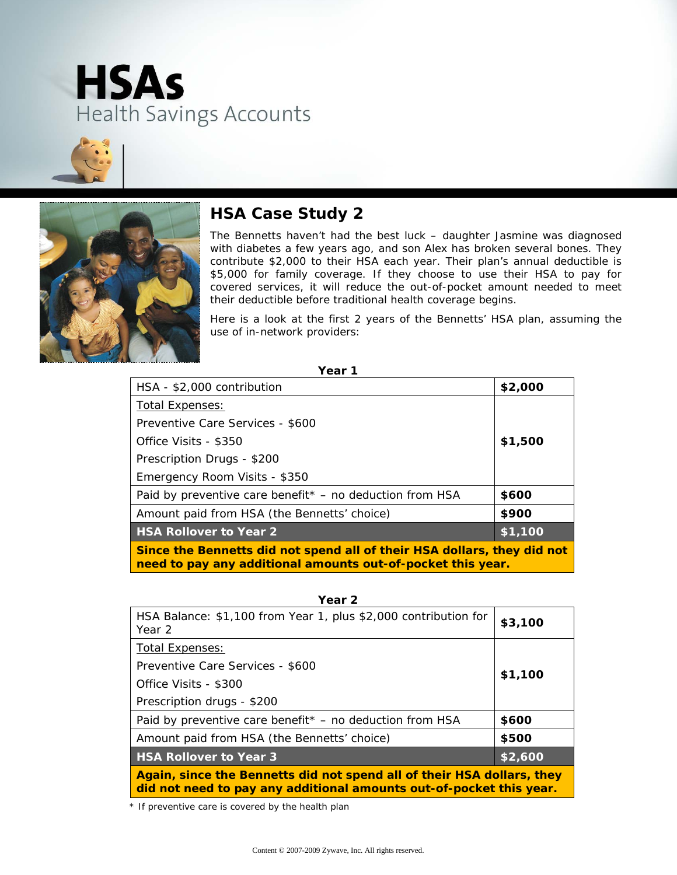





#### **HSA Case Study 2**

The Bennetts haven't had the best luck – daughter Jasmine was diagnosed with diabetes a few years ago, and son Alex has broken several bones. They contribute \$2,000 to their HSA each year. Their plan's annual deductible is \$5,000 for family coverage. If they choose to use their HSA to pay for covered services, it will reduce the out-of-pocket amount needed to meet their deductible before traditional health coverage begins.

Here is a look at the first 2 years of the Bennetts' HSA plan, assuming the use of in-network providers:

| ۰.<br>. .<br>۰.<br>× |  |
|----------------------|--|
|----------------------|--|

| HSA - \$2,000 contribution                                                                                                             | \$2,000        |
|----------------------------------------------------------------------------------------------------------------------------------------|----------------|
| <b>Total Expenses:</b>                                                                                                                 |                |
| Preventive Care Services - \$600                                                                                                       |                |
| Office Visits - \$350                                                                                                                  | \$1,500        |
| Prescription Drugs - \$200                                                                                                             |                |
| Emergency Room Visits - \$350                                                                                                          |                |
| Paid by preventive care benefit $*$ – no deduction from HSA                                                                            | \$600          |
| Amount paid from HSA (the Bennetts' choice)                                                                                            | \$900          |
| <b>HSA Rollover to Year 2</b>                                                                                                          | $\sqrt{1,100}$ |
| Since the Bennetts did not spend all of their HSA dollars, they did not<br>need to pay any additional amounts out-of-pocket this year. |                |

| Year 2                                                                                                                                        |         |
|-----------------------------------------------------------------------------------------------------------------------------------------------|---------|
| HSA Balance: \$1,100 from Year 1, plus \$2,000 contribution for<br>Year 2                                                                     | \$3,100 |
| <b>Total Expenses:</b>                                                                                                                        |         |
| Preventive Care Services - \$600                                                                                                              |         |
| Office Visits - \$300                                                                                                                         | \$1,100 |
| Prescription drugs - \$200                                                                                                                    |         |
| Paid by preventive care benefit* - no deduction from HSA                                                                                      | \$600   |
| Amount paid from HSA (the Bennetts' choice)                                                                                                   | \$500   |
| <b>HSA Rollover to Year 3</b>                                                                                                                 | \$2,600 |
| Again, since the Bennetts did not spend all of their HSA dollars, they<br>did not need to pay any additional amounts out-of-pocket this year. |         |

*\* If preventive care is covered by the health plan*